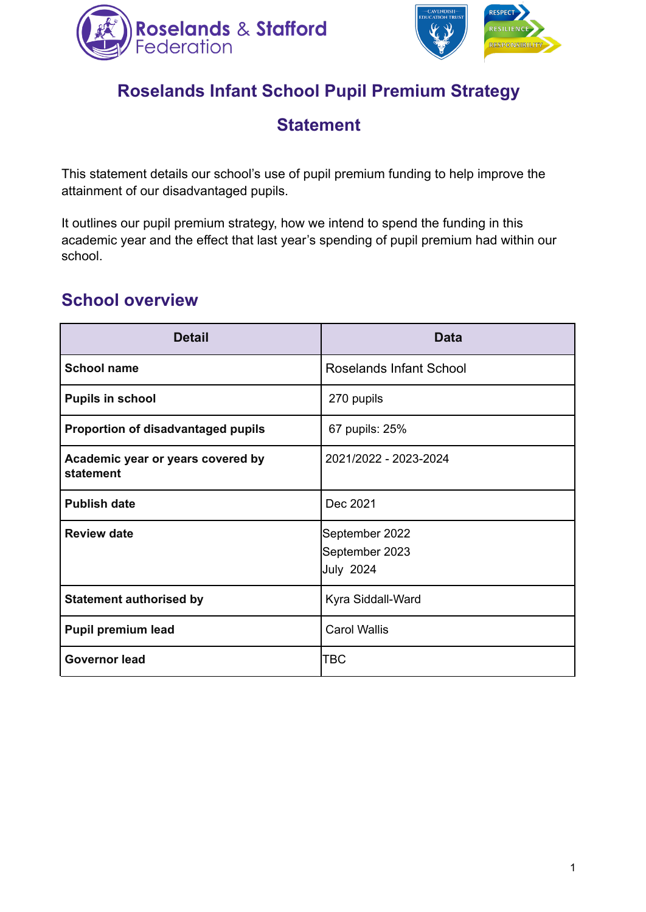



# **Roselands Infant School Pupil Premium Strategy**

## **Statement**

This statement details our school's use of pupil premium funding to help improve the attainment of our disadvantaged pupils.

It outlines our pupil premium strategy, how we intend to spend the funding in this academic year and the effect that last year's spending of pupil premium had within our school.

## **School overview**

| <b>Detail</b>                                  | Data                                                 |
|------------------------------------------------|------------------------------------------------------|
| <b>School name</b>                             | Roselands Infant School                              |
| <b>Pupils in school</b>                        | 270 pupils                                           |
| <b>Proportion of disadvantaged pupils</b>      | 67 pupils: 25%                                       |
| Academic year or years covered by<br>statement | 2021/2022 - 2023-2024                                |
| <b>Publish date</b>                            | Dec 2021                                             |
| <b>Review date</b>                             | September 2022<br>September 2023<br><b>July 2024</b> |
| <b>Statement authorised by</b>                 | Kyra Siddall-Ward                                    |
| <b>Pupil premium lead</b>                      | <b>Carol Wallis</b>                                  |
| <b>Governor lead</b>                           | TBC                                                  |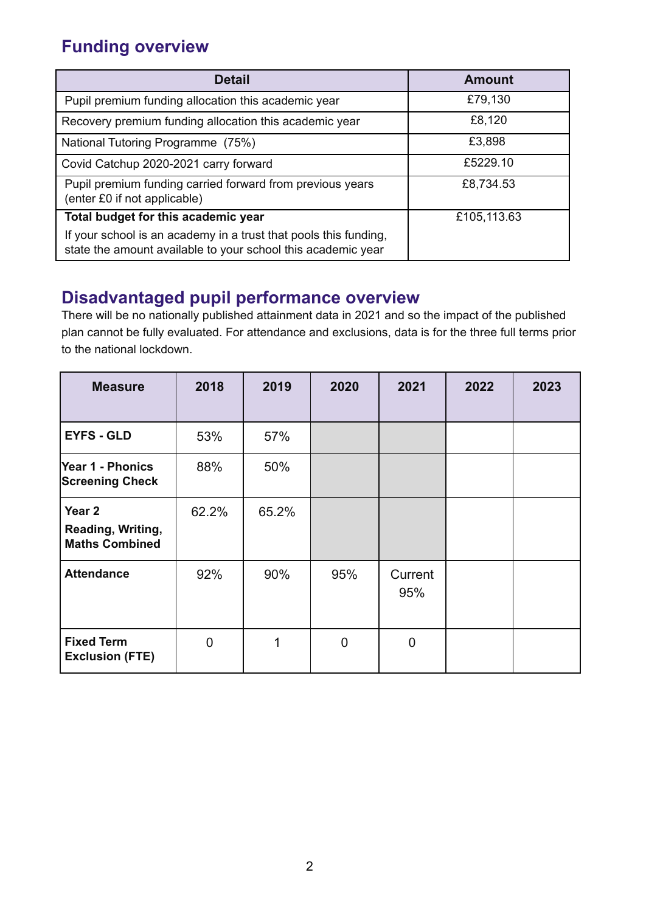# **Funding overview**

| <b>Detail</b>                                                                                                                    | Amount      |
|----------------------------------------------------------------------------------------------------------------------------------|-------------|
| Pupil premium funding allocation this academic year                                                                              | £79,130     |
| Recovery premium funding allocation this academic year                                                                           | £8,120      |
| National Tutoring Programme (75%)                                                                                                | £3,898      |
| Covid Catchup 2020-2021 carry forward                                                                                            | £5229.10    |
| Pupil premium funding carried forward from previous years<br>(enter £0 if not applicable)                                        | £8,734.53   |
| Total budget for this academic year                                                                                              | £105,113.63 |
| If your school is an academy in a trust that pools this funding,<br>state the amount available to your school this academic year |             |

## **Disadvantaged pupil performance overview**

There will be no nationally published attainment data in 2021 and so the impact of the published plan cannot be fully evaluated. For attendance and exclusions, data is for the three full terms prior to the national lockdown.

| <b>Measure</b>                                                  | 2018           | 2019  | 2020           | 2021           | 2022 | 2023 |
|-----------------------------------------------------------------|----------------|-------|----------------|----------------|------|------|
| <b>EYFS - GLD</b>                                               | 53%            | 57%   |                |                |      |      |
| <b>Year 1 - Phonics</b><br><b>Screening Check</b>               | 88%            | 50%   |                |                |      |      |
| Year <sub>2</sub><br>Reading, Writing,<br><b>Maths Combined</b> | 62.2%          | 65.2% |                |                |      |      |
| <b>Attendance</b>                                               | 92%            | 90%   | 95%            | Current<br>95% |      |      |
| <b>Fixed Term</b><br><b>Exclusion (FTE)</b>                     | $\overline{0}$ | 1     | $\overline{0}$ | $\mathbf 0$    |      |      |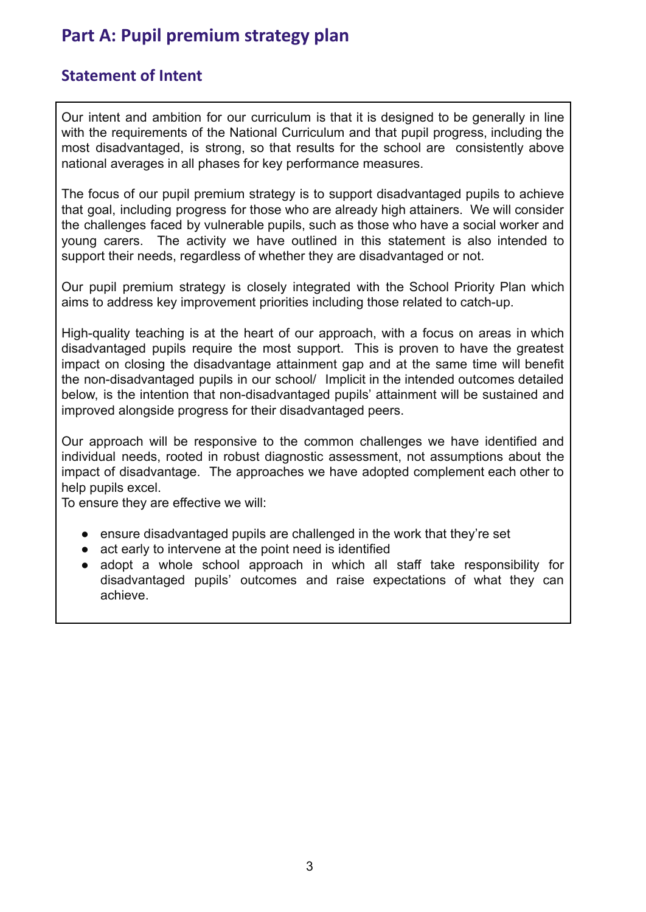# **Part A: Pupil premium strategy plan**

#### **Statement of Intent**

Our intent and ambition for our curriculum is that it is designed to be generally in line with the requirements of the National Curriculum and that pupil progress, including the most disadvantaged, is strong, so that results for the school are consistently above national averages in all phases for key performance measures.

The focus of our pupil premium strategy is to support disadvantaged pupils to achieve that goal, including progress for those who are already high attainers. We will consider the challenges faced by vulnerable pupils, such as those who have a social worker and young carers. The activity we have outlined in this statement is also intended to support their needs, regardless of whether they are disadvantaged or not.

Our pupil premium strategy is closely integrated with the School Priority Plan which aims to address key improvement priorities including those related to catch-up.

High-quality teaching is at the heart of our approach, with a focus on areas in which disadvantaged pupils require the most support. This is proven to have the greatest impact on closing the disadvantage attainment gap and at the same time will benefit the non-disadvantaged pupils in our school/ Implicit in the intended outcomes detailed below, is the intention that non-disadvantaged pupils' attainment will be sustained and improved alongside progress for their disadvantaged peers.

Our approach will be responsive to the common challenges we have identified and individual needs, rooted in robust diagnostic assessment, not assumptions about the impact of disadvantage. The approaches we have adopted complement each other to help pupils excel.

To ensure they are effective we will:

- ensure disadvantaged pupils are challenged in the work that they're set
- act early to intervene at the point need is identified
- adopt a whole school approach in which all staff take responsibility for disadvantaged pupils' outcomes and raise expectations of what they can achieve.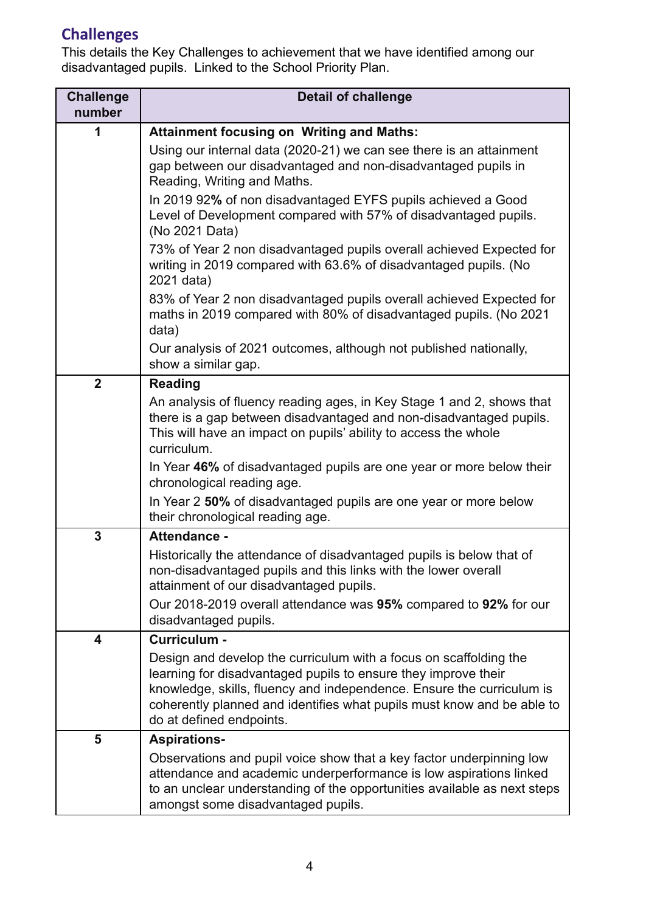# **Challenges**

This details the Key Challenges to achievement that we have identified among our disadvantaged pupils. Linked to the School Priority Plan.

| <b>Challenge</b><br>number | <b>Detail of challenge</b>                                                                                                                                                                                                                                                                                         |
|----------------------------|--------------------------------------------------------------------------------------------------------------------------------------------------------------------------------------------------------------------------------------------------------------------------------------------------------------------|
| 1                          | <b>Attainment focusing on Writing and Maths:</b>                                                                                                                                                                                                                                                                   |
|                            | Using our internal data (2020-21) we can see there is an attainment<br>gap between our disadvantaged and non-disadvantaged pupils in<br>Reading, Writing and Maths.                                                                                                                                                |
|                            | In 2019 92% of non disadvantaged EYFS pupils achieved a Good<br>Level of Development compared with 57% of disadvantaged pupils.<br>(No 2021 Data)                                                                                                                                                                  |
|                            | 73% of Year 2 non disadvantaged pupils overall achieved Expected for<br>writing in 2019 compared with 63.6% of disadvantaged pupils. (No<br>2021 data)                                                                                                                                                             |
|                            | 83% of Year 2 non disadvantaged pupils overall achieved Expected for<br>maths in 2019 compared with 80% of disadvantaged pupils. (No 2021)<br>data)                                                                                                                                                                |
|                            | Our analysis of 2021 outcomes, although not published nationally,<br>show a similar gap.                                                                                                                                                                                                                           |
| $\overline{2}$             | <b>Reading</b>                                                                                                                                                                                                                                                                                                     |
|                            | An analysis of fluency reading ages, in Key Stage 1 and 2, shows that<br>there is a gap between disadvantaged and non-disadvantaged pupils.<br>This will have an impact on pupils' ability to access the whole<br>curriculum.                                                                                      |
|                            | In Year 46% of disadvantaged pupils are one year or more below their<br>chronological reading age.                                                                                                                                                                                                                 |
|                            | In Year 2 50% of disadvantaged pupils are one year or more below<br>their chronological reading age.                                                                                                                                                                                                               |
| $\mathbf{3}$               | <b>Attendance -</b>                                                                                                                                                                                                                                                                                                |
|                            | Historically the attendance of disadvantaged pupils is below that of<br>non-disadvantaged pupils and this links with the lower overall<br>attainment of our disadvantaged pupils.                                                                                                                                  |
|                            | Our 2018-2019 overall attendance was 95% compared to 92% for our<br>disadvantaged pupils.                                                                                                                                                                                                                          |
| 4                          | Curriculum -                                                                                                                                                                                                                                                                                                       |
|                            | Design and develop the curriculum with a focus on scaffolding the<br>learning for disadvantaged pupils to ensure they improve their<br>knowledge, skills, fluency and independence. Ensure the curriculum is<br>coherently planned and identifies what pupils must know and be able to<br>do at defined endpoints. |
| 5                          | <b>Aspirations-</b>                                                                                                                                                                                                                                                                                                |
|                            | Observations and pupil voice show that a key factor underpinning low<br>attendance and academic underperformance is low aspirations linked<br>to an unclear understanding of the opportunities available as next steps<br>amongst some disadvantaged pupils.                                                       |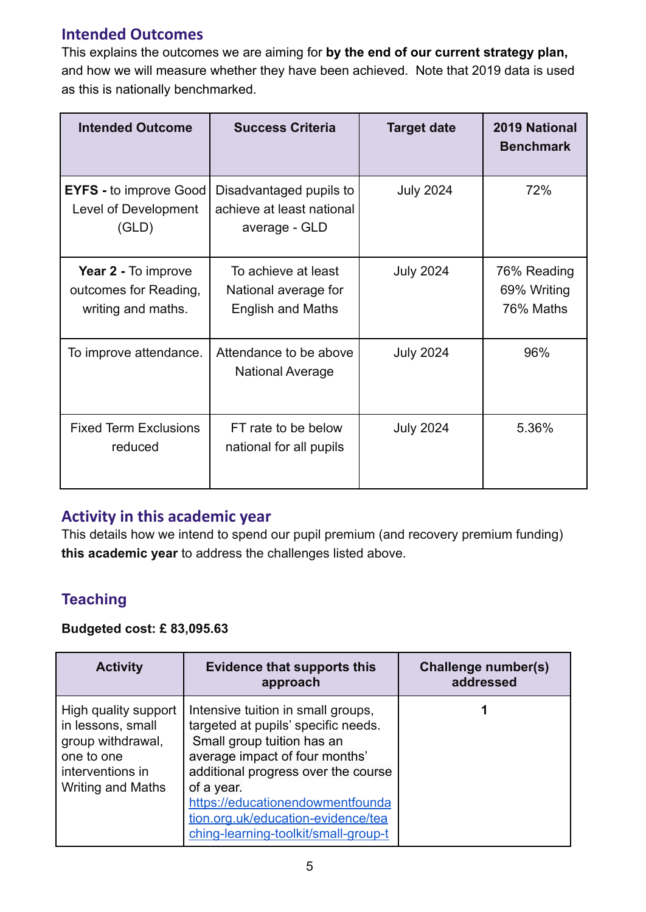#### **Intended Outcomes**

This explains the outcomes we are aiming for **by the end of our current strategy plan,** and how we will measure whether they have been achieved. Note that 2019 data is used as this is nationally benchmarked.

| <b>Intended Outcome</b>                                            | <b>Success Criteria</b>                                                 | <b>Target date</b> | 2019 National<br><b>Benchmark</b>       |
|--------------------------------------------------------------------|-------------------------------------------------------------------------|--------------------|-----------------------------------------|
| <b>EYFS</b> - to improve Good<br>Level of Development<br>(GLD)     | Disadvantaged pupils to<br>achieve at least national<br>average - GLD   | <b>July 2024</b>   | 72%                                     |
| Year 2 - To improve<br>outcomes for Reading,<br>writing and maths. | To achieve at least<br>National average for<br><b>English and Maths</b> | <b>July 2024</b>   | 76% Reading<br>69% Writing<br>76% Maths |
| To improve attendance.                                             | Attendance to be above<br><b>National Average</b>                       | <b>July 2024</b>   | 96%                                     |
| <b>Fixed Term Exclusions</b><br>reduced                            | FT rate to be below<br>national for all pupils                          | <b>July 2024</b>   | 5.36%                                   |

#### **Activity in this academic year**

This details how we intend to spend our pupil premium (and recovery premium funding) **this academic year** to address the challenges listed above.

### **Teaching**

#### **Budgeted cost: £ 83,095.63**

| <b>Activity</b>                                                                                                       | <b>Evidence that supports this</b><br>approach                                                                                                                                                                                                                                                                   | Challenge number(s)<br>addressed |
|-----------------------------------------------------------------------------------------------------------------------|------------------------------------------------------------------------------------------------------------------------------------------------------------------------------------------------------------------------------------------------------------------------------------------------------------------|----------------------------------|
| High quality support<br>in lessons, small<br>group withdrawal,<br>one to one<br>interventions in<br>Writing and Maths | Intensive tuition in small groups,<br>targeted at pupils' specific needs.<br>Small group tuition has an<br>average impact of four months'<br>additional progress over the course<br>of a year.<br>https://educationendowmentfounda<br>tion.org.uk/education-evidence/tea<br>ching-learning-toolkit/small-group-t |                                  |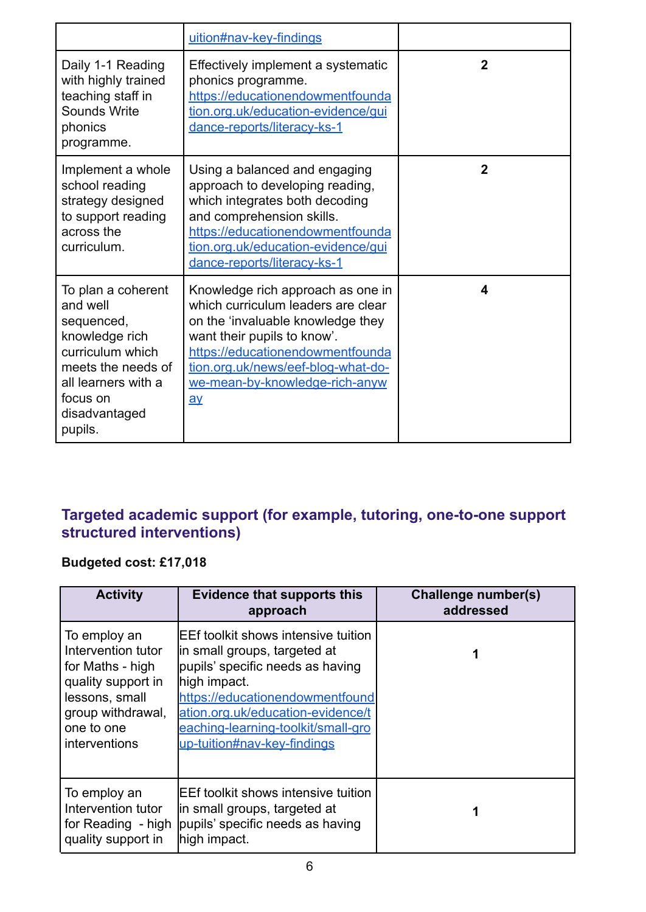|                                                                                                                                                                         | uition#nav-key-findings                                                                                                                                                                                                                                                                      |                |
|-------------------------------------------------------------------------------------------------------------------------------------------------------------------------|----------------------------------------------------------------------------------------------------------------------------------------------------------------------------------------------------------------------------------------------------------------------------------------------|----------------|
| Daily 1-1 Reading<br>with highly trained<br>teaching staff in<br>Sounds Write<br>phonics<br>programme.                                                                  | Effectively implement a systematic<br>phonics programme.<br>https://educationendowmentfounda<br>tion.org.uk/education-evidence/gui<br>dance-reports/literacy-ks-1                                                                                                                            | $\mathbf{2}$   |
| Implement a whole<br>school reading<br>strategy designed<br>to support reading<br>across the<br>curriculum.                                                             | Using a balanced and engaging<br>approach to developing reading,<br>which integrates both decoding<br>and comprehension skills.<br>https://educationendowmentfounda<br>tion.org.uk/education-evidence/qui<br>dance-reports/literacy-ks-1                                                     | $\overline{2}$ |
| To plan a coherent<br>and well<br>sequenced,<br>knowledge rich<br>curriculum which<br>meets the needs of<br>all learners with a<br>focus on<br>disadvantaged<br>pupils. | Knowledge rich approach as one in<br>which curriculum leaders are clear<br>on the 'invaluable knowledge they<br>want their pupils to know'.<br>https://educationendowmentfounda<br>tion.org.uk/news/eef-blog-what-do-<br>we-mean-by-knowledge-rich-anyw<br>$\overline{\mathbf{a}\mathbf{v}}$ | 4              |

#### **Targeted academic support (for example, tutoring, one-to-one support structured interventions)**

#### **Budgeted cost: £17,018**

| <b>Activity</b>                                                                                                                                    | <b>Evidence that supports this</b><br>approach                                                                                                                                                                                                                        | <b>Challenge number(s)</b><br>addressed |
|----------------------------------------------------------------------------------------------------------------------------------------------------|-----------------------------------------------------------------------------------------------------------------------------------------------------------------------------------------------------------------------------------------------------------------------|-----------------------------------------|
| To employ an<br>Intervention tutor<br>for Maths - high<br>quality support in<br>lessons, small<br>group withdrawal,<br>one to one<br>interventions | IEEf toolkit shows intensive tuition<br>in small groups, targeted at<br>pupils' specific needs as having<br>high impact.<br>https://educationendowmentfound<br>ation.org.uk/education-evidence/t<br>eaching-learning-toolkit/small-gro<br>up-tuition#nav-key-findings |                                         |
| To employ an<br>Intervention tutor<br>for Reading - high<br>quality support in                                                                     | EEf toolkit shows intensive tuition<br>lin small groups, targeted at<br>pupils' specific needs as having<br>high impact.                                                                                                                                              |                                         |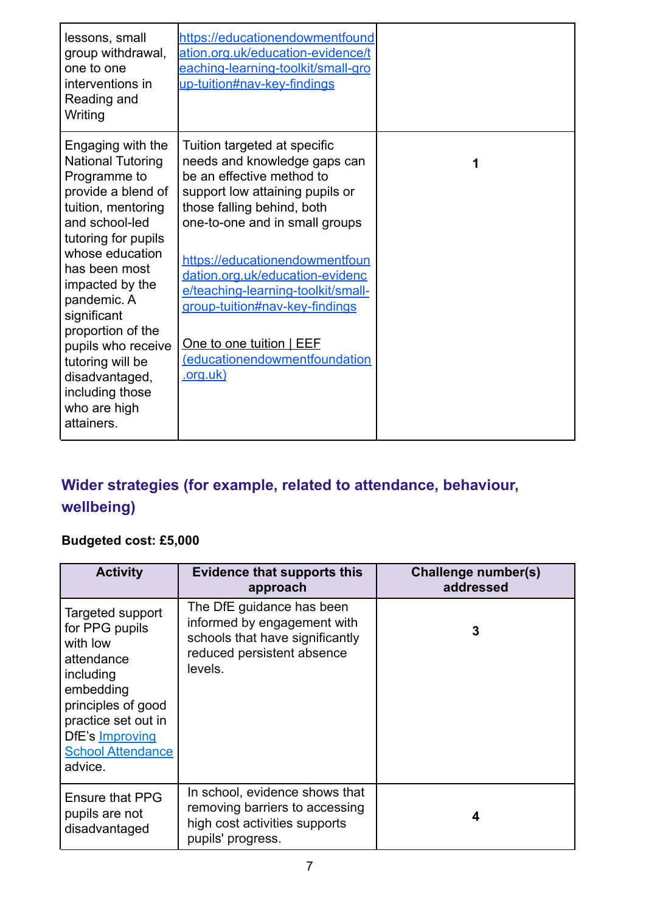| lessons, small<br>group withdrawal,<br>one to one<br>interventions in<br>Reading and<br>Writing                                                                                                                                                                                                                                                                           | https://educationendowmentfound<br>ation.org.uk/education-evidence/t<br>eaching-learning-toolkit/small-gro<br>up-tuition#nav-key-findings                                                                                                                                                                                                                                                                                 |   |
|---------------------------------------------------------------------------------------------------------------------------------------------------------------------------------------------------------------------------------------------------------------------------------------------------------------------------------------------------------------------------|---------------------------------------------------------------------------------------------------------------------------------------------------------------------------------------------------------------------------------------------------------------------------------------------------------------------------------------------------------------------------------------------------------------------------|---|
| Engaging with the<br><b>National Tutoring</b><br>Programme to<br>provide a blend of<br>tuition, mentoring<br>and school-led<br>tutoring for pupils<br>whose education<br>has been most<br>impacted by the<br>pandemic. A<br>significant<br>proportion of the<br>pupils who receive<br>tutoring will be<br>disadvantaged,<br>including those<br>who are high<br>attainers. | Tuition targeted at specific<br>needs and knowledge gaps can<br>be an effective method to<br>support low attaining pupils or<br>those falling behind, both<br>one-to-one and in small groups<br>https://educationendowmentfoun<br>dation.org.uk/education-evidenc<br>e/teaching-learning-toolkit/small-<br>group-tuition#nav-key-findings<br>One to one tuition   EEF<br>(educationendowmentfoundation<br><u>.org.uk)</u> | 1 |

# **Wider strategies (for example, related to attendance, behaviour, wellbeing)**

### **Budgeted cost: £5,000**

| <b>Activity</b>                                                                                                                                                                               | <b>Evidence that supports this</b><br>approach                                                                                       | Challenge number(s)<br>addressed |
|-----------------------------------------------------------------------------------------------------------------------------------------------------------------------------------------------|--------------------------------------------------------------------------------------------------------------------------------------|----------------------------------|
| Targeted support<br>for PPG pupils<br>with low<br>attendance<br>including<br>embedding<br>principles of good<br>practice set out in<br>DfE's Improving<br><b>School Attendance</b><br>advice. | The DfE guidance has been<br>informed by engagement with<br>schools that have significantly<br>reduced persistent absence<br>levels. | 3                                |
| <b>Ensure that PPG</b><br>pupils are not<br>disadvantaged                                                                                                                                     | In school, evidence shows that<br>removing barriers to accessing<br>high cost activities supports<br>pupils' progress.               | 4                                |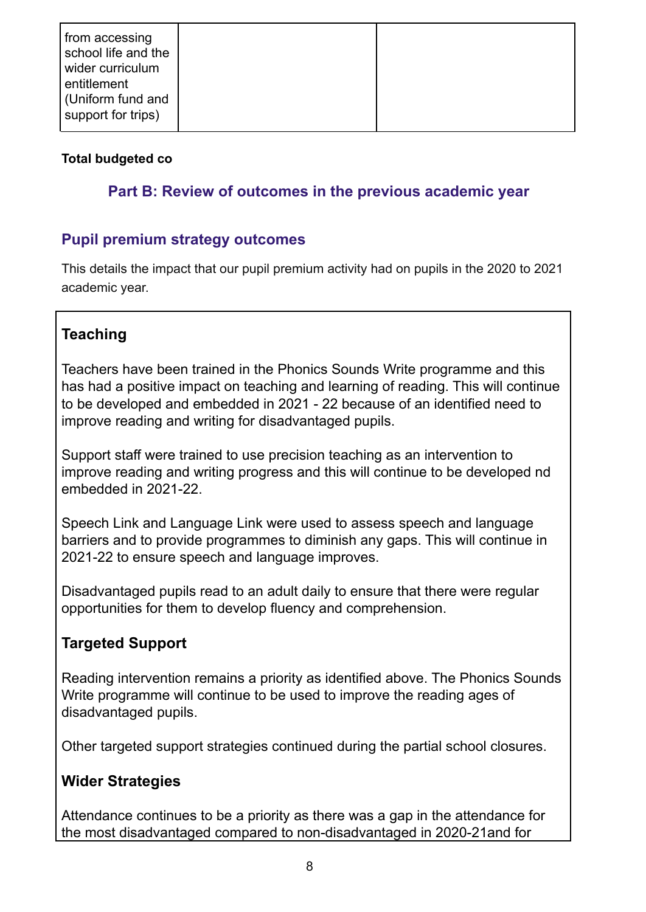#### **Total budgeted co**

#### **Part B: Review of outcomes in the previous academic year**

#### **Pupil premium strategy outcomes**

This details the impact that our pupil premium activity had on pupils in the 2020 to 2021 academic year.

### **Teaching**

Teachers have been trained in the Phonics Sounds Write programme and this has had a positive impact on teaching and learning of reading. This will continue to be developed and embedded in 2021 - 22 because of an identified need to improve reading and writing for disadvantaged pupils.

Support staff were trained to use precision teaching as an intervention to improve reading and writing progress and this will continue to be developed nd embedded in 2021-22.

Speech Link and Language Link were used to assess speech and language barriers and to provide programmes to diminish any gaps. This will continue in 2021-22 to ensure speech and language improves.

Disadvantaged pupils read to an adult daily to ensure that there were regular opportunities for them to develop fluency and comprehension.

### **Targeted Support**

Reading intervention remains a priority as identified above. The Phonics Sounds Write programme will continue to be used to improve the reading ages of disadvantaged pupils.

Other targeted support strategies continued during the partial school closures.

### **Wider Strategies**

Attendance continues to be a priority as there was a gap in the attendance for the most disadvantaged compared to non-disadvantaged in 2020-21and for